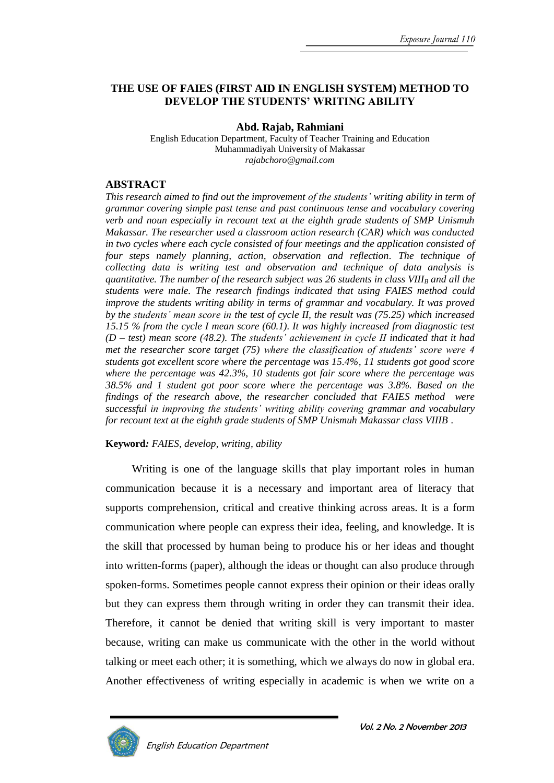#### **THE USE OF FAIES (FIRST AID IN ENGLISH SYSTEM) METHOD TO DEVELOP THE STUDENTS' WRITING ABILITY**

**Abd. Rajab, Rahmiani**

English Education Department, Faculty of Teacher Training and Education Muhammadiyah University of Makassar *rajabchoro@gmail.com*

#### **ABSTRACT**

*This research aimed to find out the improvement of the students' writing ability in term of grammar covering simple past tense and past continuous tense and vocabulary covering verb and noun especially in recount text at the eighth grade students of SMP Unismuh Makassar. The researcher used a classroom action research (CAR) which was conducted in two cycles where each cycle consisted of four meetings and the application consisted of four steps namely planning, action, observation and reflection. The technique of collecting data is writing test and observation and technique of data analysis is quantitative. The number of the research subject was 26 students in class VIII<sup>B</sup> and all the students were male. The research findings indicated that using FAIES method could improve the students writing ability in terms of grammar and vocabulary. It was proved by the students' mean score in the test of cycle II, the result was (75.25) which increased 15.15 % from the cycle I mean score (60.1). It was highly increased from diagnostic test (D – test) mean score (48.2). The students' achievement in cycle II indicated that it had met the researcher score target (75) where the classification of students' score were 4 students got excellent score where the percentage was 15.4%, 11 students got good score where the percentage was 42.3%, 10 students got fair score where the percentage was 38.5% and 1 student got poor score where the percentage was 3.8%. Based on the findings of the research above, the researcher concluded that FAIES method were successful in improving the students' writing ability covering grammar and vocabulary for recount text at the eighth grade students of SMP Unismuh Makassar class VIIIB .* 

#### **Keyword***: FAIES, develop, writing, ability*

English Education Department

Writing is one of the language skills that play important roles in human communication because it is a necessary and important area of literacy that supports comprehension, critical and creative thinking across areas. It is a form communication where people can express their idea, feeling, and knowledge. It is the skill that processed by human being to produce his or her ideas and thought into written-forms (paper), although the ideas or thought can also produce through spoken-forms. Sometimes people cannot express their opinion or their ideas orally but they can express them through writing in order they can transmit their idea. Therefore, it cannot be denied that writing skill is very important to master because, writing can make us communicate with the other in the world without talking or meet each other; it is something, which we always do now in global era. Another effectiveness of writing especially in academic is when we write on a

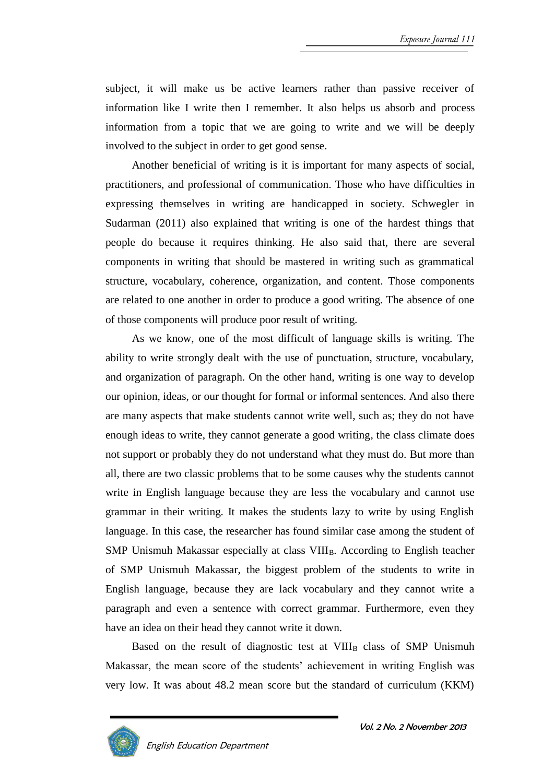subject, it will make us be active learners rather than passive receiver of information like I write then I remember. It also helps us absorb and process information from a topic that we are going to write and we will be deeply involved to the subject in order to get good sense.

Another beneficial of writing is it is important for many aspects of social, practitioners, and professional of communication. Those who have difficulties in expressing themselves in writing are handicapped in society. Schwegler in Sudarman (2011) also explained that writing is one of the hardest things that people do because it requires thinking. He also said that, there are several components in writing that should be mastered in writing such as grammatical structure, vocabulary, coherence, organization, and content. Those components are related to one another in order to produce a good writing. The absence of one of those components will produce poor result of writing.

As we know, one of the most difficult of language skills is writing. The ability to write strongly dealt with the use of punctuation, structure, vocabulary, and organization of paragraph. On the other hand, writing is one way to develop our opinion, ideas, or our thought for formal or informal sentences. And also there are many aspects that make students cannot write well, such as; they do not have enough ideas to write, they cannot generate a good writing, the class climate does not support or probably they do not understand what they must do. But more than all, there are two classic problems that to be some causes why the students cannot write in English language because they are less the vocabulary and cannot use grammar in their writing. It makes the students lazy to write by using English language. In this case, the researcher has found similar case among the student of SMP Unismuh Makassar especially at class VIII<sub>B</sub>. According to English teacher of SMP Unismuh Makassar, the biggest problem of the students to write in English language, because they are lack vocabulary and they cannot write a paragraph and even a sentence with correct grammar. Furthermore, even they have an idea on their head they cannot write it down.

Based on the result of diagnostic test at  $VIII_B$  class of SMP Unismuh Makassar, the mean score of the students' achievement in writing English was very low. It was about 48.2 mean score but the standard of curriculum (KKM)

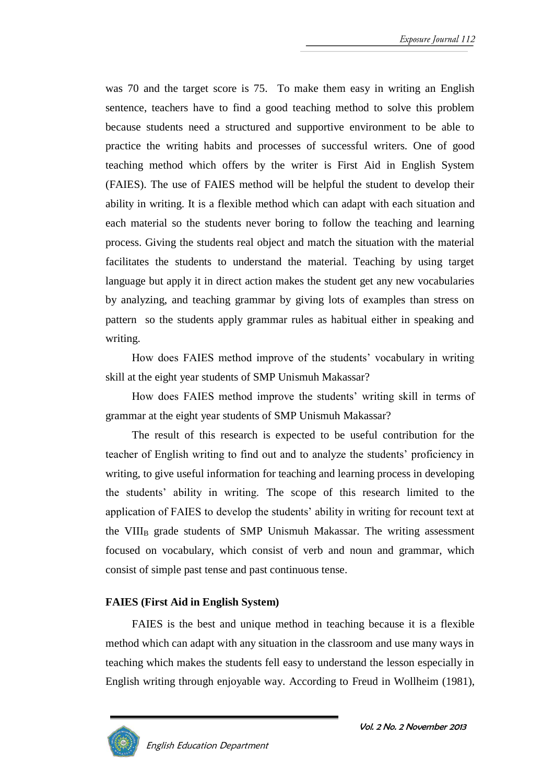was 70 and the target score is 75. To make them easy in writing an English sentence, teachers have to find a good teaching method to solve this problem because students need a structured and supportive environment to be able to practice the writing habits and processes of successful writers. One of good teaching method which offers by the writer is First Aid in English System (FAIES). The use of FAIES method will be helpful the student to develop their ability in writing. It is a flexible method which can adapt with each situation and each material so the students never boring to follow the teaching and learning process. Giving the students real object and match the situation with the material facilitates the students to understand the material. Teaching by using target language but apply it in direct action makes the student get any new vocabularies by analyzing, and teaching grammar by giving lots of examples than stress on pattern so the students apply grammar rules as habitual either in speaking and writing.

How does FAIES method improve of the students' vocabulary in writing skill at the eight year students of SMP Unismuh Makassar?

How does FAIES method improve the students' writing skill in terms of grammar at the eight year students of SMP Unismuh Makassar?

The result of this research is expected to be useful contribution for the teacher of English writing to find out and to analyze the students' proficiency in writing, to give useful information for teaching and learning process in developing the students' ability in writing. The scope of this research limited to the application of FAIES to develop the students' ability in writing for recount text at the VIII<sub>B</sub> grade students of SMP Unismuh Makassar. The writing assessment focused on vocabulary, which consist of verb and noun and grammar, which consist of simple past tense and past continuous tense.

### **FAIES (First Aid in English System)**

FAIES is the best and unique method in teaching because it is a flexible method which can adapt with any situation in the classroom and use many ways in teaching which makes the students fell easy to understand the lesson especially in English writing through enjoyable way. According to Freud in Wollheim (1981),

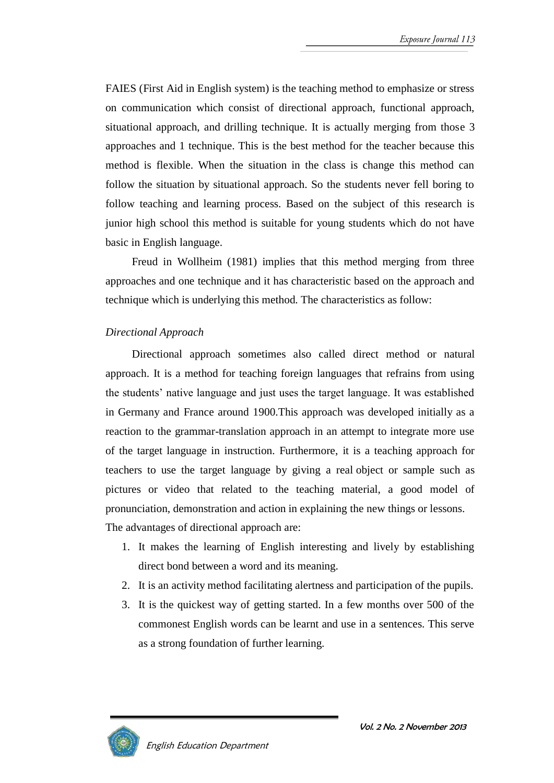FAIES (First Aid in English system) is the teaching method to emphasize or stress on communication which consist of directional approach, functional approach, situational approach, and drilling technique. It is actually merging from those 3 approaches and 1 technique. This is the best method for the teacher because this method is flexible. When the situation in the class is change this method can follow the situation by situational approach. So the students never fell boring to follow teaching and learning process. Based on the subject of this research is junior high school this method is suitable for young students which do not have basic in English language.

Freud in Wollheim (1981) implies that this method merging from three approaches and one technique and it has characteristic based on the approach and technique which is underlying this method. The characteristics as follow:

#### *Directional Approach*

Directional approach sometimes also called direct method or natural approach. It is a method for teaching foreign languages that refrains from using the students' native language and just uses the target language. It was established in Germany and France around 1900.This approach was developed initially as a reaction to the grammar-translation approach in an attempt to integrate more use of the target language in instruction. Furthermore, it is a teaching approach for teachers to use the target language by giving a real object or sample such as pictures or video that related to the teaching material, a good model of pronunciation, demonstration and action in explaining the new things or lessons. The advantages of directional approach are:

- 1. It makes the learning of English interesting and lively by establishing direct bond between a word and its meaning.
- 2. It is an activity method facilitating alertness and participation of the pupils.
- 3. It is the quickest way of getting started. In a few months over 500 of the commonest English words can be learnt and use in a sentences. This serve as a strong foundation of further learning.

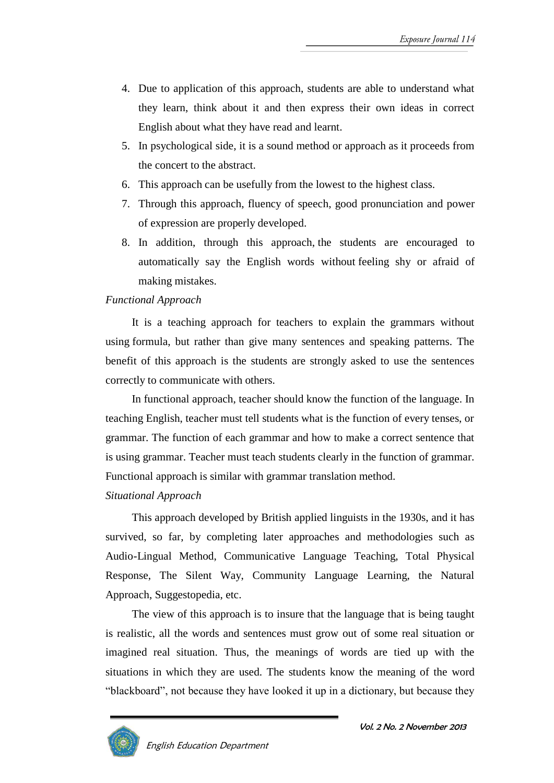- 4. Due to application of this approach, students are able to understand what they learn, think about it and then express their own ideas in correct English about what they have read and learnt.
- 5. In psychological side, it is a sound method or approach as it proceeds from the concert to the abstract.
- 6. This approach can be usefully from the lowest to the highest class.
- 7. Through this approach, fluency of speech, good pronunciation and power of expression are properly developed.
- 8. In addition, through this approach, the students are encouraged to automatically say the English words without feeling shy or afraid of making mistakes.

### *Functional Approach*

It is a teaching approach for teachers to explain the grammars without using formula, but rather than give many sentences and speaking patterns. The benefit of this approach is the students are strongly asked to use the sentences correctly to communicate with others.

In functional approach, teacher should know the function of the language. In teaching English, teacher must tell students what is the function of every tenses, or grammar. The function of each grammar and how to make a correct sentence that is using grammar. Teacher must teach students clearly in the function of grammar. Functional approach is similar with grammar translation method.

### *Situational Approach*

This approach developed by British applied linguists in the 1930s, and it has survived, so far, by completing later approaches and methodologies such as Audio-Lingual Method, Communicative Language Teaching, Total Physical Response, The Silent Way, Community Language Learning, the Natural Approach, Suggestopedia, etc.

The view of this approach is to insure that the language that is being taught is realistic, all the words and sentences must grow out of some real situation or imagined real situation. Thus, the meanings of words are tied up with the situations in which they are used. The students know the meaning of the word "blackboard", not because they have looked it up in a dictionary, but because they

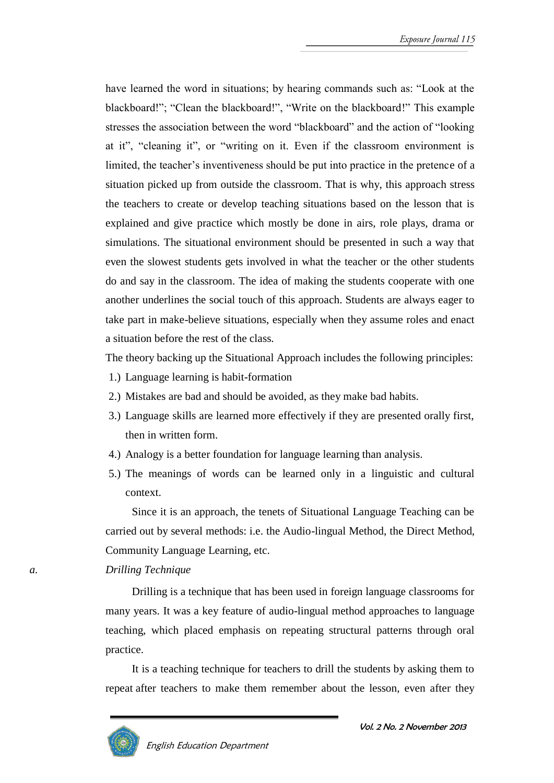have learned the word in situations; by hearing commands such as: "Look at the blackboard!"; "Clean the blackboard!", "Write on the blackboard!" This example stresses the association between the word "blackboard" and the action of "looking at it", "cleaning it", or "writing on it. Even if the classroom environment is limited, the teacher's inventiveness should be put into practice in the pretence of a situation picked up from outside the classroom. That is why, this approach stress the teachers to create or develop teaching situations based on the lesson that is explained and give practice which mostly be done in airs, role plays, drama or simulations. The situational environment should be presented in such a way that even the slowest students gets involved in what the teacher or the other students do and say in the classroom. The idea of making the students cooperate with one another underlines the social touch of this approach. Students are always eager to take part in make-believe situations, especially when they assume roles and enact a situation before the rest of the class.

The theory backing up the Situational Approach includes the following principles:

1.) Language learning is habit-formation

English Education Department

- 2.) Mistakes are bad and should be avoided, as they make bad habits.
- 3.) Language skills are learned more effectively if they are presented orally first, then in written form.
- 4.) Analogy is a better foundation for language learning than analysis.
- 5.) The meanings of words can be learned only in a linguistic and cultural context.

Since it is an approach, the tenets of Situational Language Teaching can be carried out by several methods: i.e. the Audio-lingual Method, the Direct Method, Community Language Learning, etc.

*a. Drilling Technique*

Drilling is a technique that has been used in foreign language classrooms for many years. It was a key feature of audio-lingual method approaches to language teaching, which placed emphasis on repeating structural patterns through oral practice.

It is a teaching technique for teachers to drill the students by asking them to repeat after teachers to make them remember about the lesson, even after they

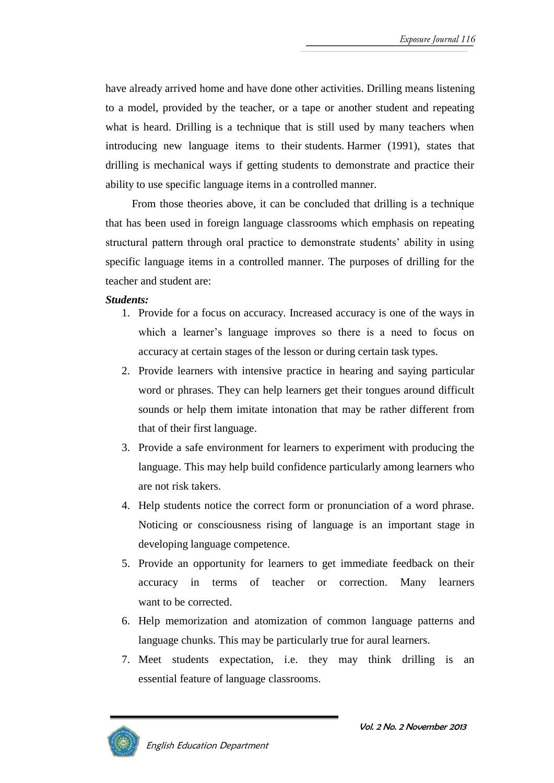have already arrived home and have done other activities. Drilling means listening to a model, provided by the teacher, or a tape or another student and repeating what is heard. Drilling is a technique that is still used by many teachers when introducing new language items to their students. Harmer (1991), states that drilling is mechanical ways if getting students to demonstrate and practice their ability to use specific language items in a controlled manner.

From those theories above, it can be concluded that drilling is a technique that has been used in foreign language classrooms which emphasis on repeating structural pattern through oral practice to demonstrate students' ability in using specific language items in a controlled manner. The purposes of drilling for the teacher and student are:

#### *Students:*

- 1. Provide for a focus on accuracy. Increased accuracy is one of the ways in which a learner's language improves so there is a need to focus on accuracy at certain stages of the lesson or during certain task types.
- 2. Provide learners with intensive practice in hearing and saying particular word or phrases. They can help learners get their tongues around difficult sounds or help them imitate intonation that may be rather different from that of their first language.
- 3. Provide a safe environment for learners to experiment with producing the language. This may help build confidence particularly among learners who are not risk takers.
- 4. Help students notice the correct form or pronunciation of a word phrase. Noticing or consciousness rising of language is an important stage in developing language competence.
- 5. Provide an opportunity for learners to get immediate feedback on their accuracy in terms of teacher or correction. Many learners want to be corrected.
- 6. Help memorization and atomization of common language patterns and language chunks. This may be particularly true for aural learners.
- 7. Meet students expectation, i.e. they may think drilling is an essential feature of language classrooms.

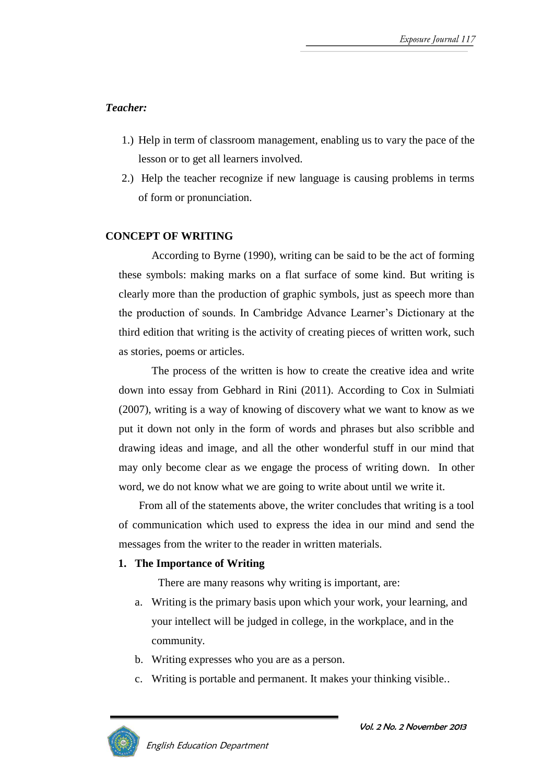## *Teacher:*

- 1.) Help in term of classroom management, enabling us to vary the pace of the lesson or to get all learners involved.
- 2.) Help the teacher recognize if new language is causing problems in terms of form or pronunciation.

### **CONCEPT OF WRITING**

According to Byrne (1990), writing can be said to be the act of forming these symbols: making marks on a flat surface of some kind. But writing is clearly more than the production of graphic symbols, just as speech more than the production of sounds. In Cambridge Advance Learner's Dictionary at the third edition that writing is the activity of creating pieces of written work, such as stories, poems or articles.

The process of the written is how to create the creative idea and write down into essay from Gebhard in Rini (2011). According to Cox in Sulmiati (2007), writing is a way of knowing of discovery what we want to know as we put it down not only in the form of words and phrases but also scribble and drawing ideas and image, and all the other wonderful stuff in our mind that may only become clear as we engage the process of writing down. In other word, we do not know what we are going to write about until we write it.

From all of the statements above, the writer concludes that writing is a tool of communication which used to express the idea in our mind and send the messages from the writer to the reader in written materials.

#### **1. The Importance of Writing**

There are many reasons why writing is important, are:

- a. Writing is the primary basis upon which your work, your learning, and your intellect will be judged in college, in the workplace, and in the community.
- b. Writing expresses who you are as a person.
- c. Writing is portable and permanent. It makes your thinking visible..

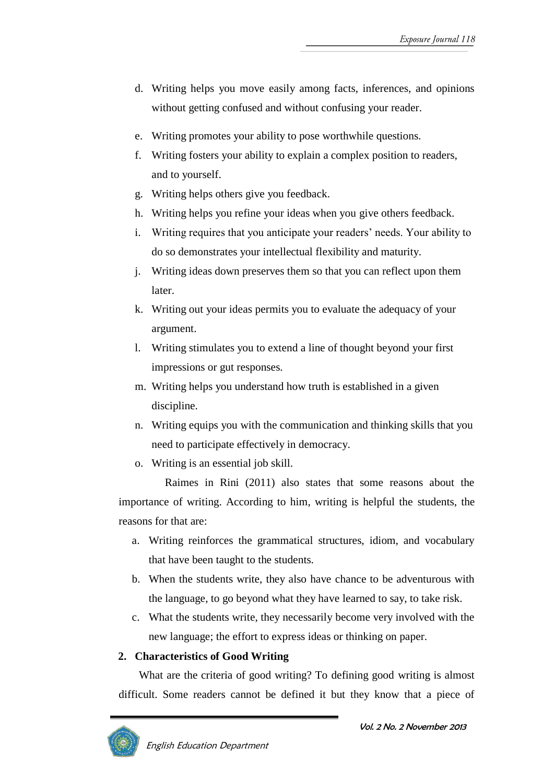- d. Writing helps you move easily among facts, inferences, and opinions without getting confused and without confusing your reader.
- e. Writing promotes your ability to pose worthwhile questions.
- f. Writing fosters your ability to explain a complex position to readers, and to yourself.
- g. Writing helps others give you feedback.
- h. Writing helps you refine your ideas when you give others feedback.
- i. Writing requires that you anticipate your readers' needs. Your ability to do so demonstrates your intellectual flexibility and maturity.
- j. Writing ideas down preserves them so that you can reflect upon them later.
- k. Writing out your ideas permits you to evaluate the adequacy of your argument.
- l. Writing stimulates you to extend a line of thought beyond your first impressions or gut responses.
- m. Writing helps you understand how truth is established in a given discipline.
- n. Writing equips you with the communication and thinking skills that you need to participate effectively in democracy.
- o. Writing is an essential job skill.

Raimes in Rini (2011) also states that some reasons about the importance of writing. According to him, writing is helpful the students, the reasons for that are:

- a. Writing reinforces the grammatical structures, idiom, and vocabulary that have been taught to the students.
- b. When the students write, they also have chance to be adventurous with the language, to go beyond what they have learned to say, to take risk.
- c. What the students write, they necessarily become very involved with the new language; the effort to express ideas or thinking on paper.

#### **2. Characteristics of Good Writing**

What are the criteria of good writing? To defining good writing is almost difficult. Some readers cannot be defined it but they know that a piece of

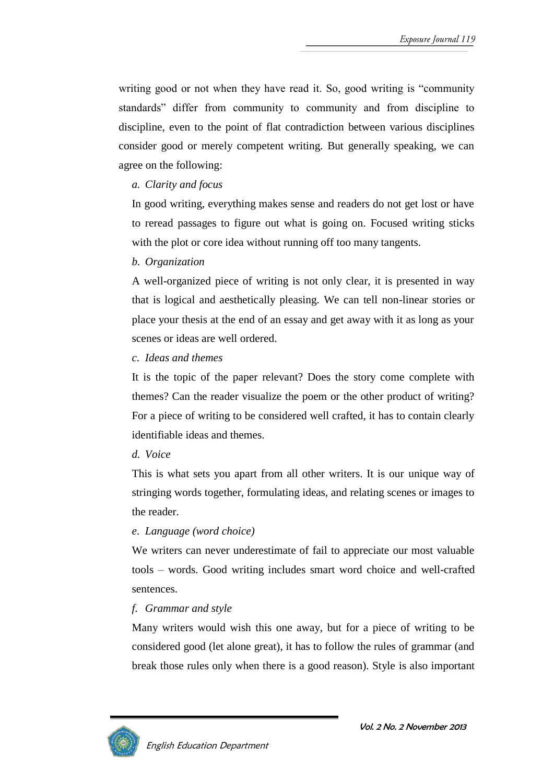writing good or not when they have read it. So, good writing is "community standards" differ from community to community and from discipline to discipline, even to the point of flat contradiction between various disciplines consider good or merely competent writing. But generally speaking, we can agree on the following:

*a. Clarity and focus*

In good writing, everything makes sense and readers do not get lost or have to reread passages to figure out what is going on. Focused writing sticks with the plot or core idea without running off too many tangents.

*b. Organization* 

A well-organized piece of writing is not only clear, it is presented in way that is logical and aesthetically pleasing. We can tell non-linear stories or place your thesis at the end of an essay and get away with it as long as your scenes or ideas are well ordered.

*c. Ideas and themes*

It is the topic of the paper relevant? Does the story come complete with themes? Can the reader visualize the poem or the other product of writing? For a piece of writing to be considered well crafted, it has to contain clearly identifiable ideas and themes.

### *d. Voice*

This is what sets you apart from all other writers. It is our unique way of stringing words together, formulating ideas, and relating scenes or images to the reader.

### *e. Language (word choice)*

We writers can never underestimate of fail to appreciate our most valuable tools – words. Good writing includes smart word choice and well-crafted sentences.

### *f. Grammar and style*

Many writers would wish this one away, but for a piece of writing to be considered good (let alone great), it has to follow the rules of grammar (and break those rules only when there is a good reason). Style is also important

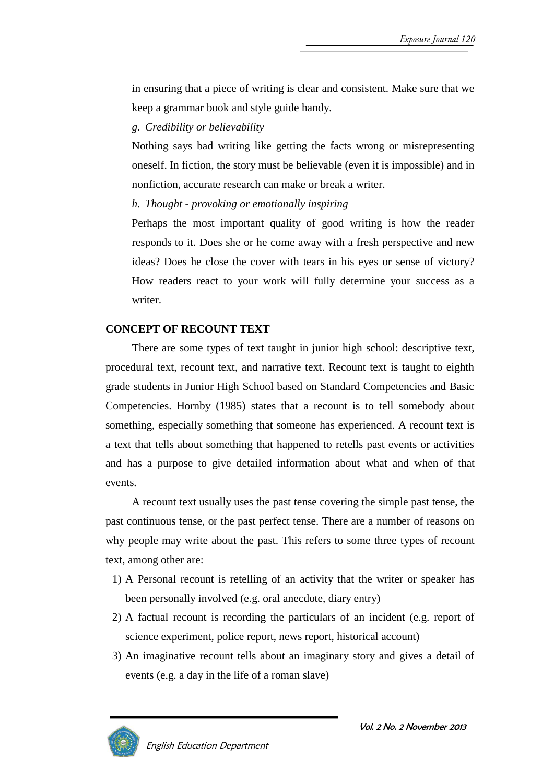in ensuring that a piece of writing is clear and consistent. Make sure that we keep a grammar book and style guide handy.

*g. Credibility or believability*

Nothing says bad writing like getting the facts wrong or misrepresenting oneself. In fiction, the story must be believable (even it is impossible) and in nonfiction, accurate research can make or break a writer.

*h. Thought - provoking or emotionally inspiring* 

Perhaps the most important quality of good writing is how the reader responds to it. Does she or he come away with a fresh perspective and new ideas? Does he close the cover with tears in his eyes or sense of victory? How readers react to your work will fully determine your success as a writer.

#### **CONCEPT OF RECOUNT TEXT**

There are some types of text taught in junior high school: descriptive text, procedural text, recount text, and narrative text. Recount text is taught to eighth grade students in Junior High School based on Standard Competencies and Basic Competencies. Hornby (1985) states that a recount is to tell somebody about something, especially something that someone has experienced. A recount text is a text that tells about something that happened to retells past events or activities and has a purpose to give detailed information about what and when of that events.

A recount text usually uses the past tense covering the simple past tense, the past continuous tense, or the past perfect tense. There are a number of reasons on why people may write about the past. This refers to some three types of recount text, among other are:

- 1) A Personal recount is retelling of an activity that the writer or speaker has been personally involved (e.g. oral anecdote, diary entry)
- 2) A factual recount is recording the particulars of an incident (e.g. report of science experiment, police report, news report, historical account)
- 3) An imaginative recount tells about an imaginary story and gives a detail of events (e.g. a day in the life of a roman slave)

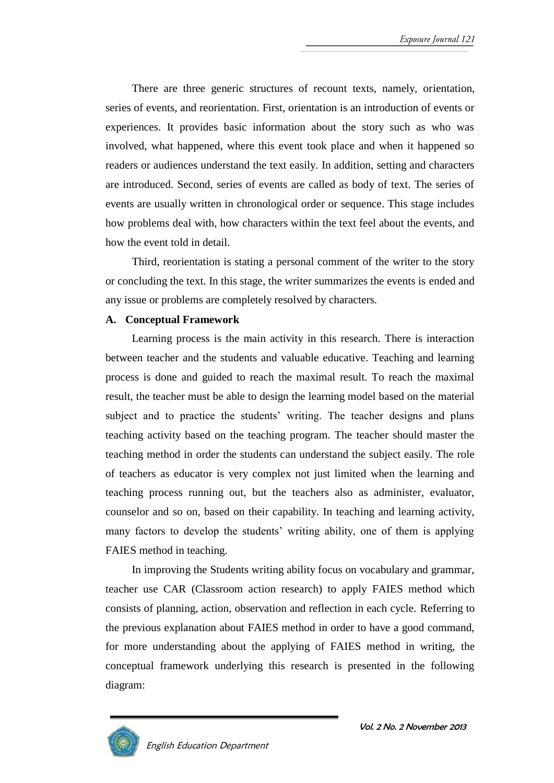There are three generic structures of recount texts, namely, orientation, series of events, and reorientation. First, orientation is an introduction of events or experiences. It provides basic information about the story such as who was involved, what happened, where this event took place and when it happened so readers or audiences understand the text easily. In addition, setting and characters are introduced. Second, series of events are called as body of text. The series of events are usually written in chronological order or sequence. This stage includes how problems deal with, how characters within the text feel about the events, and how the event told in detail.

Third, reorientation is stating a personal comment of the writer to the story or concluding the text. In this stage, the writer summarizes the events is ended and any issue or problems are completely resolved by characters.

#### **A. Conceptual Framework**

Learning process is the main activity in this research. There is interaction between teacher and the students and valuable educative. Teaching and learning process is done and guided to reach the maximal result. To reach the maximal result, the teacher must be able to design the learning model based on the material subject and to practice the students' writing. The teacher designs and plans teaching activity based on the teaching program. The teacher should master the teaching method in order the students can understand the subject easily. The role of teachers as educator is very complex not just limited when the learning and teaching process running out, but the teachers also as administer, evaluator, counselor and so on, based on their capability. In teaching and learning activity, many factors to develop the students' writing ability, one of them is applying FAIES method in teaching.

In improving the Students writing ability focus on vocabulary and grammar, teacher use CAR (Classroom action research) to apply FAIES method which consists of planning, action, observation and reflection in each cycle. Referring to the previous explanation about FAIES method in order to have a good command, for more understanding about the applying of FAIES method in writing, the conceptual framework underlying this research is presented in the following diagram:

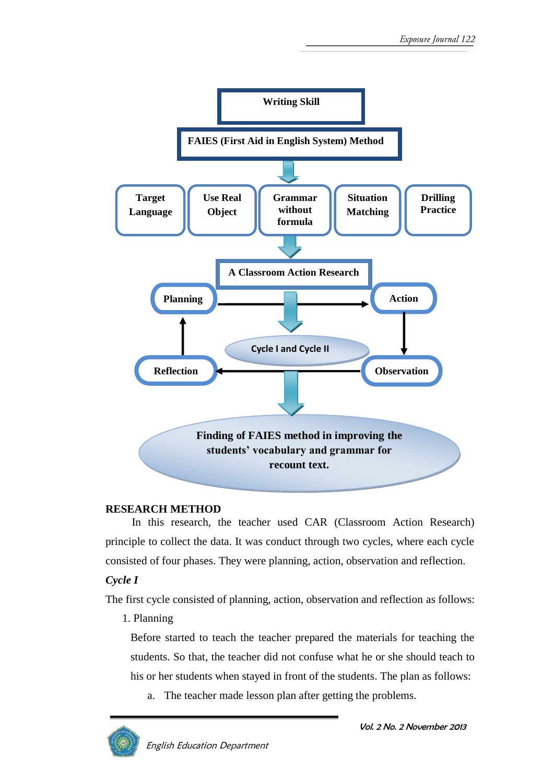

#### **RESEARCH METHOD**

In this research, the teacher used CAR (Classroom Action Research) principle to collect the data. It was conduct through two cycles, where each cycle consisted of four phases. They were planning, action, observation and reflection.

### *Cycle I*

The first cycle consisted of planning, action, observation and reflection as follows:

1. Planning

Before started to teach the teacher prepared the materials for teaching the students. So that, the teacher did not confuse what he or she should teach to his or her students when stayed in front of the students. The plan as follows:

a. The teacher made lesson plan after getting the problems.

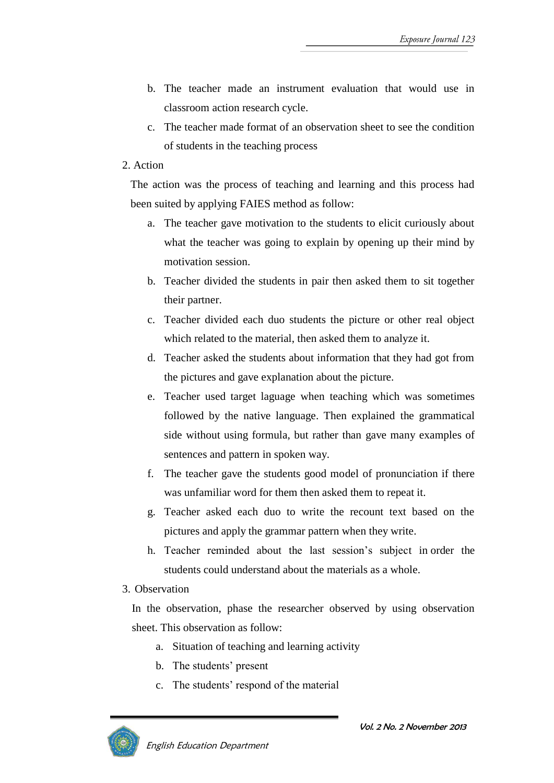- b. The teacher made an instrument evaluation that would use in classroom action research cycle.
- c. The teacher made format of an observation sheet to see the condition of students in the teaching process

#### 2. Action

The action was the process of teaching and learning and this process had been suited by applying FAIES method as follow:

- a. The teacher gave motivation to the students to elicit curiously about what the teacher was going to explain by opening up their mind by motivation session.
- b. Teacher divided the students in pair then asked them to sit together their partner.
- c. Teacher divided each duo students the picture or other real object which related to the material, then asked them to analyze it.
- d. Teacher asked the students about information that they had got from the pictures and gave explanation about the picture.
- e. Teacher used target laguage when teaching which was sometimes followed by the native language. Then explained the grammatical side without using formula, but rather than gave many examples of sentences and pattern in spoken way.
- f. The teacher gave the students good model of pronunciation if there was unfamiliar word for them then asked them to repeat it.
- g. Teacher asked each duo to write the recount text based on the pictures and apply the grammar pattern when they write.
- h. Teacher reminded about the last session's subject in order the students could understand about the materials as a whole.
- 3. Observation

In the observation, phase the researcher observed by using observation sheet. This observation as follow:

- a. Situation of teaching and learning activity
- b. The students' present
- c. The students' respond of the material

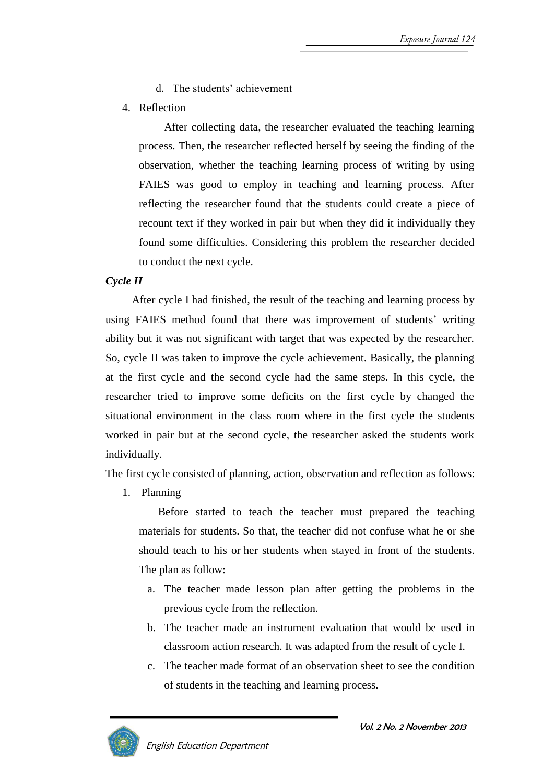- d. The students' achievement
- 4. Reflection

After collecting data, the researcher evaluated the teaching learning process. Then, the researcher reflected herself by seeing the finding of the observation, whether the teaching learning process of writing by using FAIES was good to employ in teaching and learning process. After reflecting the researcher found that the students could create a piece of recount text if they worked in pair but when they did it individually they found some difficulties. Considering this problem the researcher decided to conduct the next cycle.

# *Cycle II*

After cycle I had finished, the result of the teaching and learning process by using FAIES method found that there was improvement of students' writing ability but it was not significant with target that was expected by the researcher. So, cycle II was taken to improve the cycle achievement. Basically, the planning at the first cycle and the second cycle had the same steps. In this cycle, the researcher tried to improve some deficits on the first cycle by changed the situational environment in the class room where in the first cycle the students worked in pair but at the second cycle, the researcher asked the students work individually.

The first cycle consisted of planning, action, observation and reflection as follows:

1. Planning

Before started to teach the teacher must prepared the teaching materials for students. So that, the teacher did not confuse what he or she should teach to his or her students when stayed in front of the students. The plan as follow:

- a. The teacher made lesson plan after getting the problems in the previous cycle from the reflection.
- b. The teacher made an instrument evaluation that would be used in classroom action research. It was adapted from the result of cycle I.
- c. The teacher made format of an observation sheet to see the condition of students in the teaching and learning process.

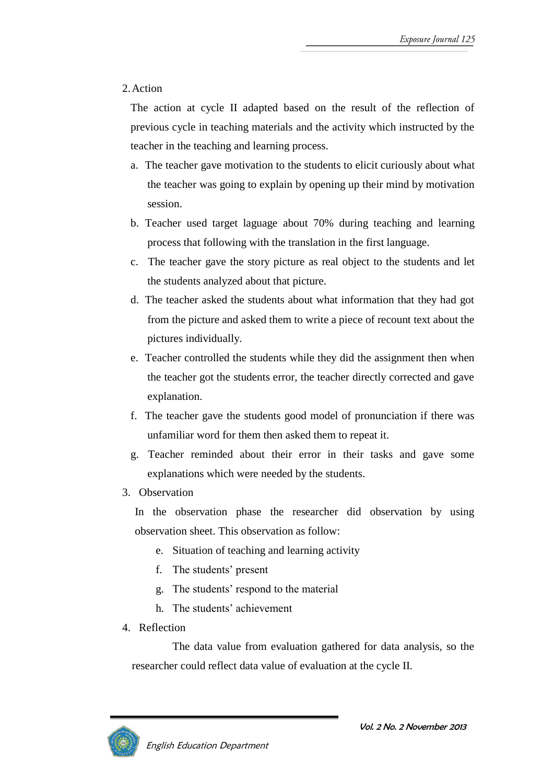## 2.Action

The action at cycle II adapted based on the result of the reflection of previous cycle in teaching materials and the activity which instructed by the teacher in the teaching and learning process.

- a. The teacher gave motivation to the students to elicit curiously about what the teacher was going to explain by opening up their mind by motivation session.
- b. Teacher used target laguage about 70% during teaching and learning process that following with the translation in the first language.
- c. The teacher gave the story picture as real object to the students and let the students analyzed about that picture.
- d. The teacher asked the students about what information that they had got from the picture and asked them to write a piece of recount text about the pictures individually.
- e. Teacher controlled the students while they did the assignment then when the teacher got the students error, the teacher directly corrected and gave explanation.
- f. The teacher gave the students good model of pronunciation if there was unfamiliar word for them then asked them to repeat it.
- g. Teacher reminded about their error in their tasks and gave some explanations which were needed by the students.
- 3. Observation

In the observation phase the researcher did observation by using observation sheet. This observation as follow:

- e. Situation of teaching and learning activity
- f. The students' present
- g. The students' respond to the material
- h. The students' achievement
- 4. Reflection

The data value from evaluation gathered for data analysis, so the researcher could reflect data value of evaluation at the cycle II.

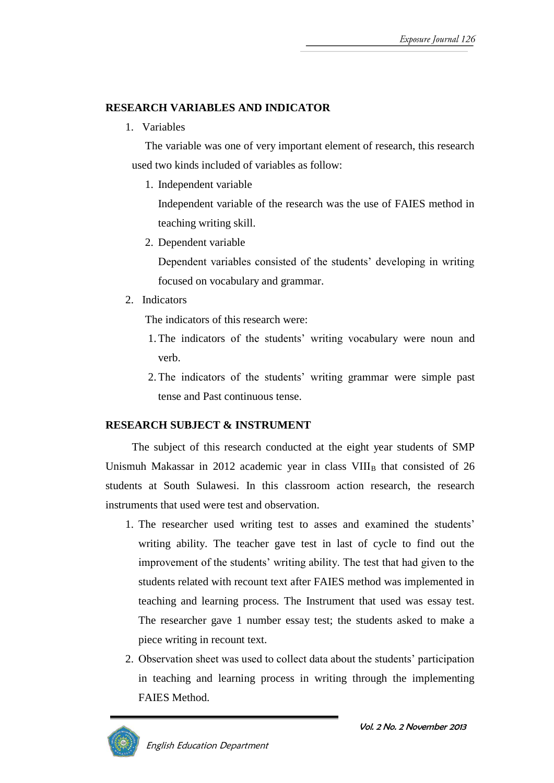### **RESEARCH VARIABLES AND INDICATOR**

1. Variables

The variable was one of very important element of research, this research used two kinds included of variables as follow:

1. Independent variable

Independent variable of the research was the use of FAIES method in teaching writing skill.

2. Dependent variable

Dependent variables consisted of the students' developing in writing focused on vocabulary and grammar.

2. Indicators

The indicators of this research were:

- 1.The indicators of the students' writing vocabulary were noun and verb.
- 2.The indicators of the students' writing grammar were simple past tense and Past continuous tense.

# **RESEARCH SUBJECT & INSTRUMENT**

The subject of this research conducted at the eight year students of SMP Unismuh Makassar in 2012 academic year in class  $VIII<sub>B</sub>$  that consisted of 26 students at South Sulawesi. In this classroom action research, the research instruments that used were test and observation.

- 1. The researcher used writing test to asses and examined the students' writing ability. The teacher gave test in last of cycle to find out the improvement of the students' writing ability. The test that had given to the students related with recount text after FAIES method was implemented in teaching and learning process. The Instrument that used was essay test. The researcher gave 1 number essay test; the students asked to make a piece writing in recount text.
- 2. Observation sheet was used to collect data about the students' participation in teaching and learning process in writing through the implementing FAIES Method.

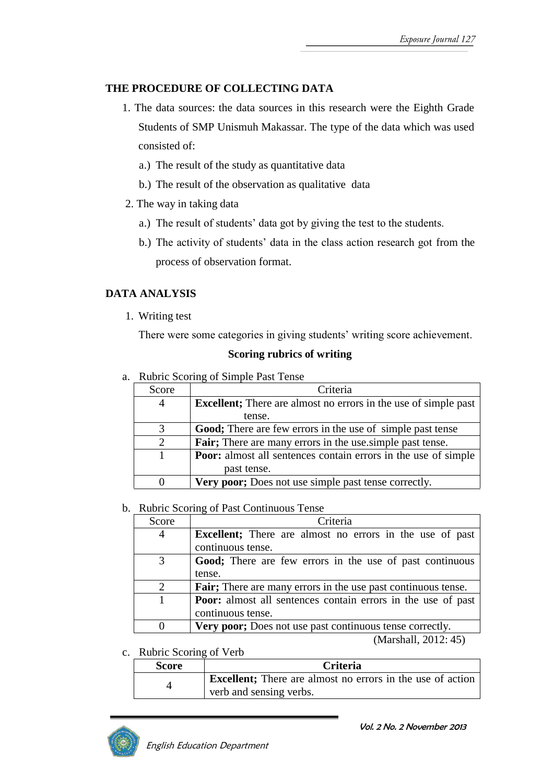### **THE PROCEDURE OF COLLECTING DATA**

- 1. The data sources: the data sources in this research were the Eighth Grade Students of SMP Unismuh Makassar. The type of the data which was used consisted of:
	- a.) The result of the study as quantitative data
	- b.) The result of the observation as qualitative data
- 2. The way in taking data
	- a.) The result of students' data got by giving the test to the students.
	- b.) The activity of students' data in the class action research got from the process of observation format.

# **DATA ANALYSIS**

1. Writing test

There were some categories in giving students' writing score achievement.

#### **Scoring rubrics of writing**

a. Rubric Scoring of Simple Past Tense

| Score                       | Criteria                                                                |  |
|-----------------------------|-------------------------------------------------------------------------|--|
| 4                           | <b>Excellent</b> ; There are almost no errors in the use of simple past |  |
|                             | tense.                                                                  |  |
| 3                           | Good; There are few errors in the use of simple past tense              |  |
| $\mathcal{D}_{\mathcal{L}}$ | <b>Fair</b> ; There are many errors in the use simple past tense.       |  |
|                             | <b>Poor:</b> almost all sentences contain errors in the use of simple   |  |
|                             | past tense.                                                             |  |
|                             | Very poor; Does not use simple past tense correctly.                    |  |

#### b. Rubric Scoring of Past Continuous Tense

| Score    | Criteria                                                         |  |
|----------|------------------------------------------------------------------|--|
| 4        | <b>Excellent</b> ; There are almost no errors in the use of past |  |
|          | continuous tense.                                                |  |
| 3        | Good; There are few errors in the use of past continuous         |  |
|          | tense.                                                           |  |
| 2        | Fair; There are many errors in the use past continuous tense.    |  |
|          | Poor: almost all sentences contain errors in the use of past     |  |
|          | continuous tense.                                                |  |
| $\theta$ | Very poor; Does not use past continuous tense correctly.         |  |

(Marshall, 2012: 45)

c. Rubric Scoring of Verb

| <b>Score</b> | <b>Criteria</b>                                                                               |  |
|--------------|-----------------------------------------------------------------------------------------------|--|
|              | <b>Excellent</b> ; There are almost no errors in the use of action<br>verb and sensing verbs. |  |

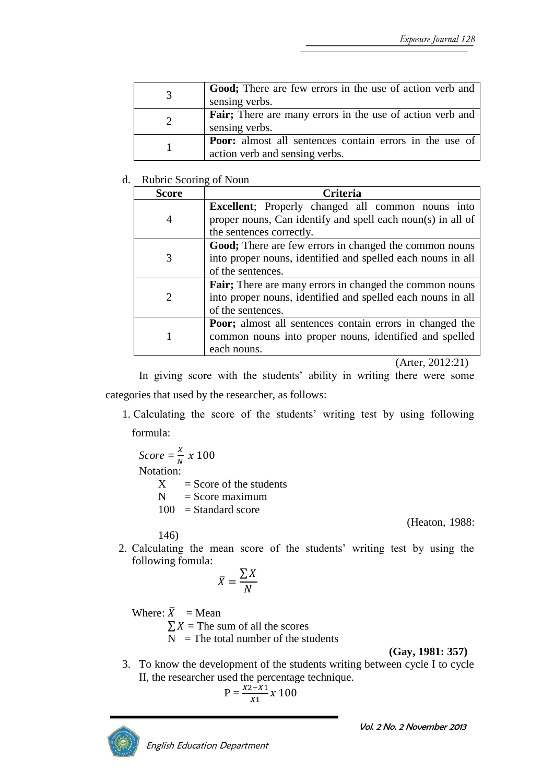| <b>Good</b> ; There are few errors in the use of action verb and<br>sensing verbs.               |
|--------------------------------------------------------------------------------------------------|
| <b>Fair</b> ; There are many errors in the use of action verb and<br>sensing verbs.              |
| <b>Poor:</b> almost all sentences contain errors in the use of<br>action verb and sensing verbs. |

#### d. Rubric Scoring of Noun

| Score | <b>Criteria</b>                                                  |  |  |
|-------|------------------------------------------------------------------|--|--|
|       | <b>Excellent</b> ; Properly changed all common nouns into        |  |  |
| 4     | proper nouns, Can identify and spell each noun(s) in all of      |  |  |
|       | the sentences correctly.                                         |  |  |
|       | Good; There are few errors in changed the common nouns           |  |  |
|       | into proper nouns, identified and spelled each nouns in all      |  |  |
|       | of the sentences.                                                |  |  |
|       | <b>Fair</b> ; There are many errors in changed the common nouns  |  |  |
|       | into proper nouns, identified and spelled each nouns in all      |  |  |
|       | of the sentences.                                                |  |  |
|       | <b>Poor</b> ; almost all sentences contain errors in changed the |  |  |
|       | common nouns into proper nouns, identified and spelled           |  |  |
|       | each nouns.                                                      |  |  |

(Arter, 2012:21)

In giving score with the students' ability in writing there were some categories that used by the researcher, as follows:

1. Calculating the score of the students' writing test by using following formula:

 $Score = \frac{X}{N} \times 100$ Notation:  $X =$ Score of the students  $N =$ Score maximum  $100 =$ Standard score

(Heaton, 1988:

- 146)
- 2. Calculating the mean score of the students' writing test by using the following fomula:

$$
\bar{X} = \frac{\sum X}{N}
$$

Where:  $\bar{X}$  = Mean

 $\sum X$  = The sum of all the scores

 $\overline{N}$  = The total number of the students

**(Gay, 1981: 357)**

3. To know the development of the students writing between cycle I to cycle II, the researcher used the percentage technique.

$$
P = \frac{x_2 - x_1}{x_1} x \; 100
$$



Vol. 2 No. 2 November 2013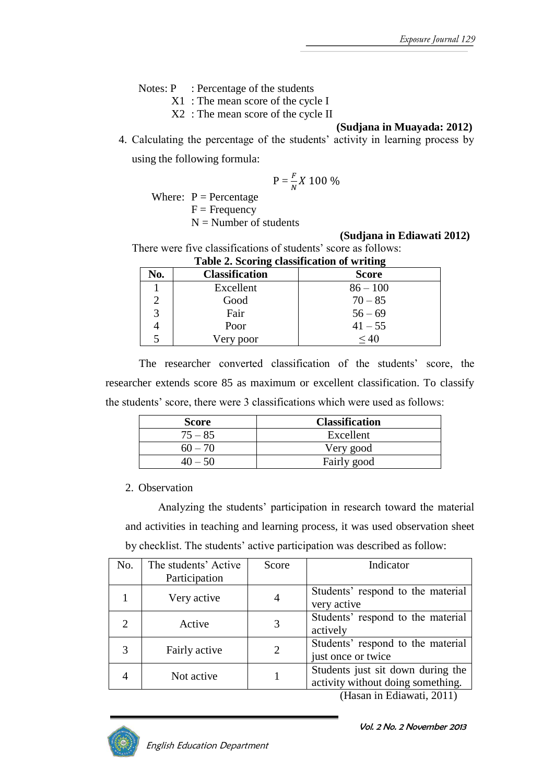Notes: P : Percentage of the students

X1 : The mean score of the cycle I

X2 : The mean score of the cycle II

#### **(Sudjana in Muayada: 2012)**

4. Calculating the percentage of the students' activity in learning process by using the following formula:

$$
P=\frac{F}{N}X\ 100\ \%
$$

Where:  $P =$  Percentage  $F = F$ requency

 $N =$  Number of students

#### **(Sudjana in Ediawati 2012)**

There were five classifications of students' score as follows: **Table 2. Scoring classification of writing**

| Tuble 2. Debiting chabbineation of writing |                       |              |  |
|--------------------------------------------|-----------------------|--------------|--|
| No.                                        | <b>Classification</b> | <b>Score</b> |  |
|                                            | Excellent             | $86 - 100$   |  |
|                                            | Good                  | $70 - 85$    |  |
| 3                                          | Fair                  | $56 - 69$    |  |
|                                            | Poor                  | $41 - 55$    |  |
|                                            | Very poor             | $\leq 40$    |  |

The researcher converted classification of the students' score, the researcher extends score 85 as maximum or excellent classification. To classify the students' score, there were 3 classifications which were used as follows:

| <b>Score</b> | <b>Classification</b> |
|--------------|-----------------------|
| $75 - 85$    | Excellent             |
| $60 - 70$    | Very good             |
|              | Fairly good           |

#### 2. Observation

Analyzing the students' participation in research toward the material and activities in teaching and learning process, it was used observation sheet by checklist. The students' active participation was described as follow:

| No. | The students' Active<br>Participation | Score          | Indicator                                                              |
|-----|---------------------------------------|----------------|------------------------------------------------------------------------|
|     | Very active                           | 4              | Students' respond to the material<br>very active                       |
|     | Active                                | 3              | Students' respond to the material<br>actively                          |
|     | Fairly active                         | $\overline{2}$ | Students' respond to the material<br>just once or twice                |
|     | Not active                            |                | Students just sit down during the<br>activity without doing something. |

(Hasan in Ediawati, 2011)

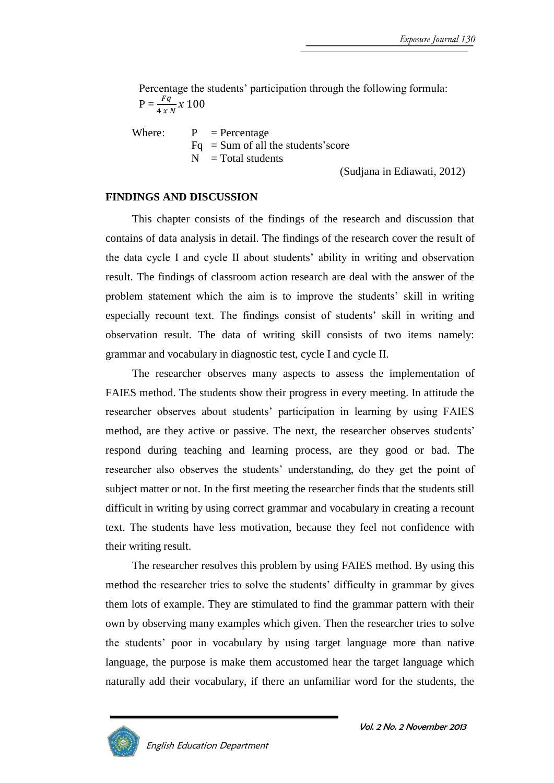Percentage the students' participation through the following formula:  $P = \frac{Fq}{4 \times N} \times 100$ 

Where:  $P = Percentage$  $Fq = Sum of all the students'score$  $=$  Total students

(Sudjana in Ediawati, 2012)

#### **FINDINGS AND DISCUSSION**

This chapter consists of the findings of the research and discussion that contains of data analysis in detail. The findings of the research cover the result of the data cycle I and cycle II about students' ability in writing and observation result. The findings of classroom action research are deal with the answer of the problem statement which the aim is to improve the students' skill in writing especially recount text. The findings consist of students' skill in writing and observation result. The data of writing skill consists of two items namely: grammar and vocabulary in diagnostic test, cycle I and cycle II.

The researcher observes many aspects to assess the implementation of FAIES method. The students show their progress in every meeting. In attitude the researcher observes about students' participation in learning by using FAIES method, are they active or passive. The next, the researcher observes students' respond during teaching and learning process, are they good or bad. The researcher also observes the students' understanding, do they get the point of subject matter or not. In the first meeting the researcher finds that the students still difficult in writing by using correct grammar and vocabulary in creating a recount text. The students have less motivation, because they feel not confidence with their writing result.

The researcher resolves this problem by using FAIES method. By using this method the researcher tries to solve the students' difficulty in grammar by gives them lots of example. They are stimulated to find the grammar pattern with their own by observing many examples which given. Then the researcher tries to solve the students' poor in vocabulary by using target language more than native language, the purpose is make them accustomed hear the target language which naturally add their vocabulary, if there an unfamiliar word for the students, the

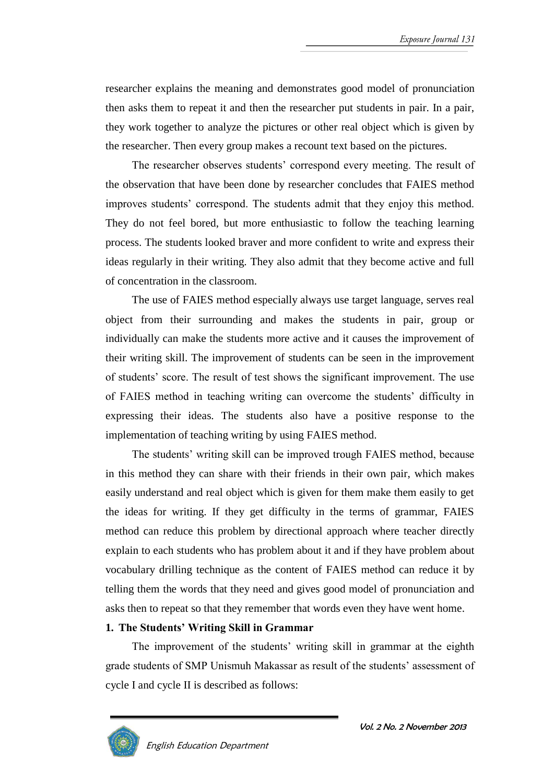researcher explains the meaning and demonstrates good model of pronunciation then asks them to repeat it and then the researcher put students in pair. In a pair, they work together to analyze the pictures or other real object which is given by the researcher. Then every group makes a recount text based on the pictures.

The researcher observes students' correspond every meeting. The result of the observation that have been done by researcher concludes that FAIES method improves students' correspond. The students admit that they enjoy this method. They do not feel bored, but more enthusiastic to follow the teaching learning process. The students looked braver and more confident to write and express their ideas regularly in their writing. They also admit that they become active and full of concentration in the classroom.

The use of FAIES method especially always use target language, serves real object from their surrounding and makes the students in pair, group or individually can make the students more active and it causes the improvement of their writing skill. The improvement of students can be seen in the improvement of students' score. The result of test shows the significant improvement. The use of FAIES method in teaching writing can overcome the students' difficulty in expressing their ideas. The students also have a positive response to the implementation of teaching writing by using FAIES method.

The students' writing skill can be improved trough FAIES method, because in this method they can share with their friends in their own pair, which makes easily understand and real object which is given for them make them easily to get the ideas for writing. If they get difficulty in the terms of grammar, FAIES method can reduce this problem by directional approach where teacher directly explain to each students who has problem about it and if they have problem about vocabulary drilling technique as the content of FAIES method can reduce it by telling them the words that they need and gives good model of pronunciation and asks then to repeat so that they remember that words even they have went home.

### **1. The Students' Writing Skill in Grammar**

The improvement of the students' writing skill in grammar at the eighth grade students of SMP Unismuh Makassar as result of the students' assessment of cycle I and cycle II is described as follows:

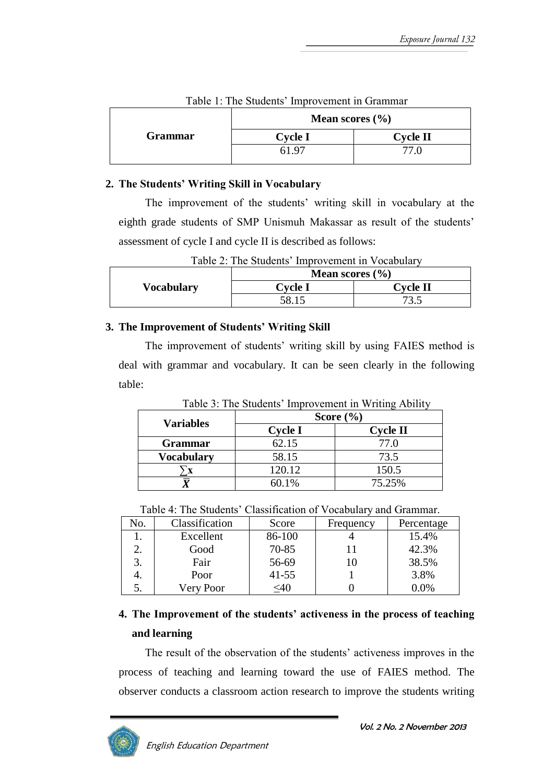|                | Mean scores $(\% )$ |                 |  |
|----------------|---------------------|-----------------|--|
| <b>Grammar</b> | <b>Cycle I</b>      | <b>Cycle II</b> |  |
|                | 61.97               |                 |  |

### Table 1: The Students' Improvement in Grammar

### **2. The Students' Writing Skill in Vocabulary**

The improvement of the students' writing skill in vocabulary at the eighth grade students of SMP Unismuh Makassar as result of the students' assessment of cycle I and cycle II is described as follows:

| Table 2: The Students' Improvement in Vocabulary |                           |                 |
|--------------------------------------------------|---------------------------|-----------------|
|                                                  | <b>Mean scores</b> $(\%)$ |                 |
| <b>Vocabulary</b>                                | <b>Cycle I</b>            | <b>Cycle II</b> |
|                                                  | 58.15                     |                 |

### Table 2: The Students' Improvement in Vocabulary

### **3. The Improvement of Students' Writing Skill**

The improvement of students' writing skill by using FAIES method is deal with grammar and vocabulary. It can be seen clearly in the following table:

Table 3: The Students' Improvement in Writing Ability

|                   | Score $(\% )$  |                 |
|-------------------|----------------|-----------------|
| <b>Variables</b>  | <b>Cycle I</b> | <b>Cycle II</b> |
| <b>Grammar</b>    | 62.15          | 77.0            |
| <b>Vocabulary</b> | 58.15          | 73.5            |
|                   | 120.12         | 150.5           |
|                   | 60.1%          | 75.25%          |

| Table 4: The Students' Classification of Vocabulary and Grammar. |  |
|------------------------------------------------------------------|--|
|------------------------------------------------------------------|--|

| No. | Classification | Score     | Frequency | Percentage |
|-----|----------------|-----------|-----------|------------|
|     | Excellent      | 86-100    |           | 15.4%      |
|     | Good           | 70-85     |           | 42.3%      |
|     | Fair           | 56-69     | 10        | 38.5%      |
|     | Poor           | $41 - 55$ |           | 3.8%       |
|     | Very Poor      | <40       |           | $0.0\%$    |

# **4. The Improvement of the students' activeness in the process of teaching and learning**

The result of the observation of the students' activeness improves in the process of teaching and learning toward the use of FAIES method. The observer conducts a classroom action research to improve the students writing

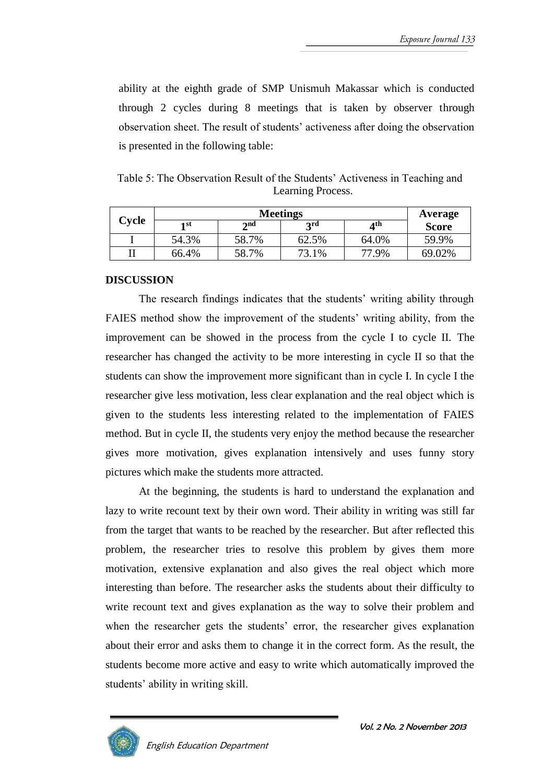ability at the eighth grade of SMP Unismuh Makassar which is conducted through 2 cycles during 8 meetings that is taken by observer through observation sheet. The result of students' activeness after doing the observation is presented in the following table:

Table 5: The Observation Result of the Students' Activeness in Teaching and Learning Process.

|       | <b>Meetings</b> |                          |       |                          | Average      |
|-------|-----------------|--------------------------|-------|--------------------------|--------------|
| Cycle | 1 st            | $\boldsymbol{\gamma}$ nd | 2rd   | $\mathbf{A}^{\text{th}}$ | <b>Score</b> |
|       | 54.3%           | 58.7%                    | 62.5% | 64.0%                    | 59.9%        |
|       | 66.4%           | 58.7%                    | 73.1% | 77.9%                    | 69.02%       |

#### **DISCUSSION**

The research findings indicates that the students' writing ability through FAIES method show the improvement of the students' writing ability, from the improvement can be showed in the process from the cycle I to cycle II. The researcher has changed the activity to be more interesting in cycle II so that the students can show the improvement more significant than in cycle I. In cycle I the researcher give less motivation, less clear explanation and the real object which is given to the students less interesting related to the implementation of FAIES method. But in cycle II, the students very enjoy the method because the researcher gives more motivation, gives explanation intensively and uses funny story pictures which make the students more attracted.

At the beginning, the students is hard to understand the explanation and lazy to write recount text by their own word. Their ability in writing was still far from the target that wants to be reached by the researcher. But after reflected this problem, the researcher tries to resolve this problem by gives them more motivation, extensive explanation and also gives the real object which more interesting than before. The researcher asks the students about their difficulty to write recount text and gives explanation as the way to solve their problem and when the researcher gets the students' error, the researcher gives explanation about their error and asks them to change it in the correct form. As the result, the students become more active and easy to write which automatically improved the students' ability in writing skill.

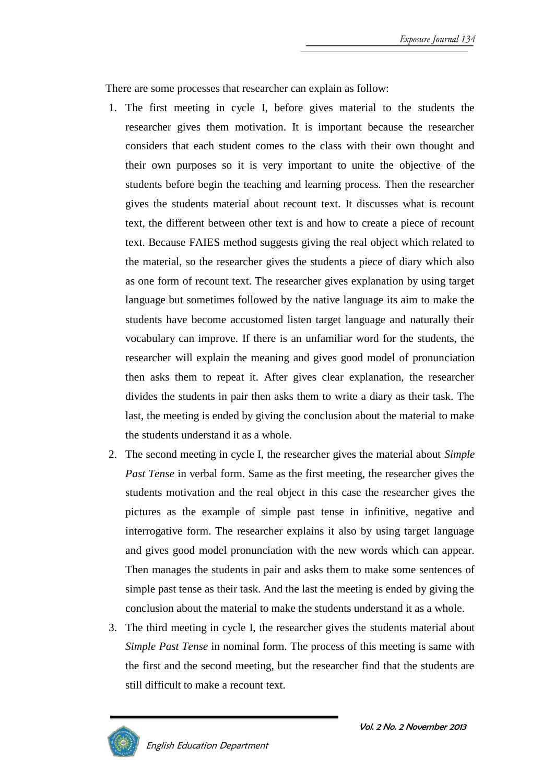There are some processes that researcher can explain as follow:

- 1. The first meeting in cycle I, before gives material to the students the researcher gives them motivation. It is important because the researcher considers that each student comes to the class with their own thought and their own purposes so it is very important to unite the objective of the students before begin the teaching and learning process. Then the researcher gives the students material about recount text. It discusses what is recount text, the different between other text is and how to create a piece of recount text. Because FAIES method suggests giving the real object which related to the material, so the researcher gives the students a piece of diary which also as one form of recount text. The researcher gives explanation by using target language but sometimes followed by the native language its aim to make the students have become accustomed listen target language and naturally their vocabulary can improve. If there is an unfamiliar word for the students, the researcher will explain the meaning and gives good model of pronunciation then asks them to repeat it. After gives clear explanation, the researcher divides the students in pair then asks them to write a diary as their task. The last, the meeting is ended by giving the conclusion about the material to make the students understand it as a whole.
- 2. The second meeting in cycle I, the researcher gives the material about *Simple Past Tense* in verbal form. Same as the first meeting, the researcher gives the students motivation and the real object in this case the researcher gives the pictures as the example of simple past tense in infinitive, negative and interrogative form. The researcher explains it also by using target language and gives good model pronunciation with the new words which can appear. Then manages the students in pair and asks them to make some sentences of simple past tense as their task. And the last the meeting is ended by giving the conclusion about the material to make the students understand it as a whole.
- 3. The third meeting in cycle I, the researcher gives the students material about *Simple Past Tense* in nominal form*.* The process of this meeting is same with the first and the second meeting, but the researcher find that the students are still difficult to make a recount text.

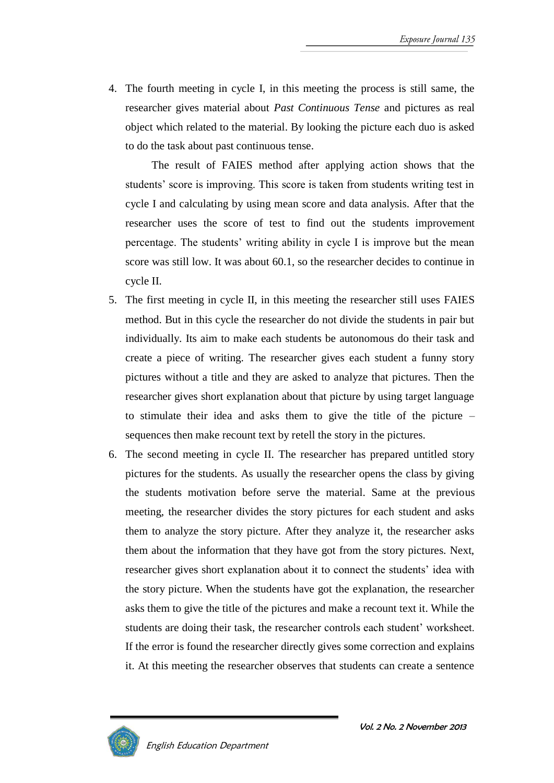4. The fourth meeting in cycle I, in this meeting the process is still same, the researcher gives material about *Past Continuous Tense* and pictures as real object which related to the material. By looking the picture each duo is asked to do the task about past continuous tense.

The result of FAIES method after applying action shows that the students' score is improving. This score is taken from students writing test in cycle I and calculating by using mean score and data analysis. After that the researcher uses the score of test to find out the students improvement percentage. The students' writing ability in cycle I is improve but the mean score was still low. It was about 60.1, so the researcher decides to continue in cycle II.

- 5. The first meeting in cycle II, in this meeting the researcher still uses FAIES method. But in this cycle the researcher do not divide the students in pair but individually. Its aim to make each students be autonomous do their task and create a piece of writing. The researcher gives each student a funny story pictures without a title and they are asked to analyze that pictures. Then the researcher gives short explanation about that picture by using target language to stimulate their idea and asks them to give the title of the picture – sequences then make recount text by retell the story in the pictures.
- 6. The second meeting in cycle II. The researcher has prepared untitled story pictures for the students. As usually the researcher opens the class by giving the students motivation before serve the material. Same at the previous meeting, the researcher divides the story pictures for each student and asks them to analyze the story picture. After they analyze it, the researcher asks them about the information that they have got from the story pictures. Next, researcher gives short explanation about it to connect the students' idea with the story picture. When the students have got the explanation, the researcher asks them to give the title of the pictures and make a recount text it. While the students are doing their task, the researcher controls each student' worksheet. If the error is found the researcher directly gives some correction and explains it. At this meeting the researcher observes that students can create a sentence

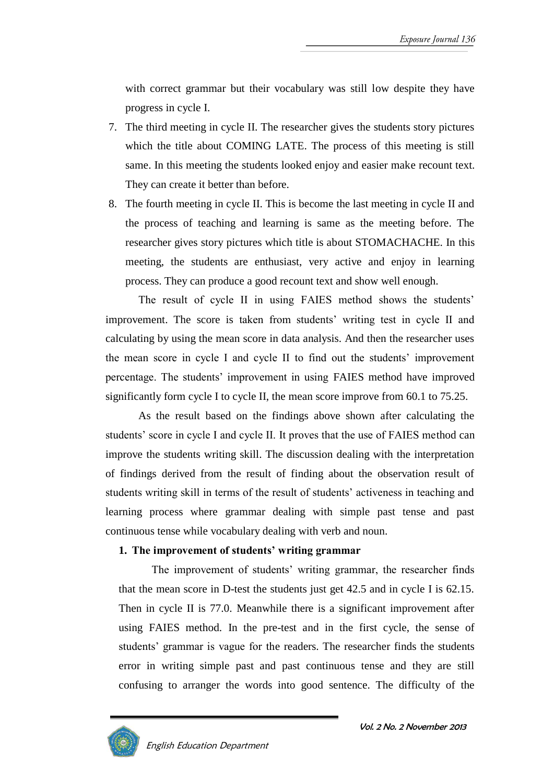with correct grammar but their vocabulary was still low despite they have progress in cycle I.

- 7. The third meeting in cycle II. The researcher gives the students story pictures which the title about COMING LATE. The process of this meeting is still same. In this meeting the students looked enjoy and easier make recount text. They can create it better than before.
- 8. The fourth meeting in cycle II. This is become the last meeting in cycle II and the process of teaching and learning is same as the meeting before. The researcher gives story pictures which title is about STOMACHACHE. In this meeting, the students are enthusiast, very active and enjoy in learning process. They can produce a good recount text and show well enough.

The result of cycle II in using FAIES method shows the students' improvement. The score is taken from students' writing test in cycle II and calculating by using the mean score in data analysis. And then the researcher uses the mean score in cycle I and cycle II to find out the students' improvement percentage. The students' improvement in using FAIES method have improved significantly form cycle I to cycle II, the mean score improve from 60.1 to 75.25.

As the result based on the findings above shown after calculating the students' score in cycle I and cycle II. It proves that the use of FAIES method can improve the students writing skill. The discussion dealing with the interpretation of findings derived from the result of finding about the observation result of students writing skill in terms of the result of students' activeness in teaching and learning process where grammar dealing with simple past tense and past continuous tense while vocabulary dealing with verb and noun.

### **1. The improvement of students' writing grammar**

The improvement of students' writing grammar, the researcher finds that the mean score in D-test the students just get 42.5 and in cycle I is 62.15. Then in cycle II is 77.0. Meanwhile there is a significant improvement after using FAIES method. In the pre-test and in the first cycle, the sense of students' grammar is vague for the readers. The researcher finds the students error in writing simple past and past continuous tense and they are still confusing to arranger the words into good sentence. The difficulty of the

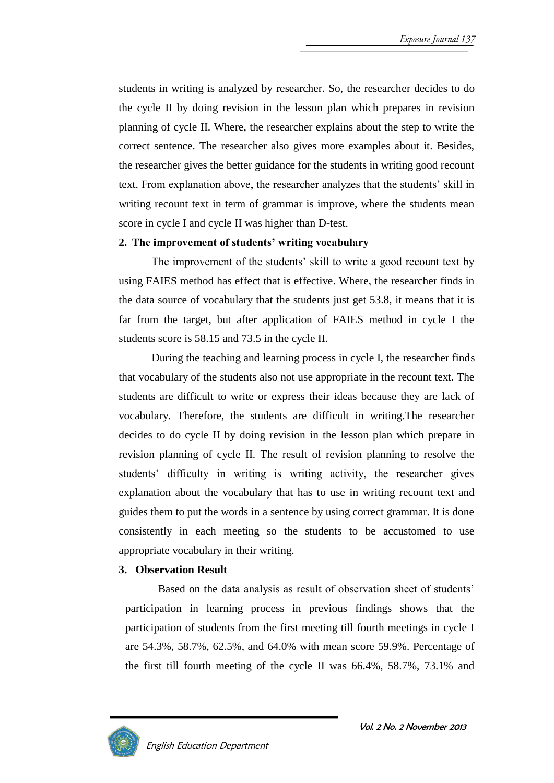students in writing is analyzed by researcher. So, the researcher decides to do the cycle II by doing revision in the lesson plan which prepares in revision planning of cycle II. Where, the researcher explains about the step to write the correct sentence. The researcher also gives more examples about it. Besides, the researcher gives the better guidance for the students in writing good recount text. From explanation above, the researcher analyzes that the students' skill in writing recount text in term of grammar is improve, where the students mean score in cycle I and cycle II was higher than D-test.

### **2. The improvement of students' writing vocabulary**

The improvement of the students' skill to write a good recount text by using FAIES method has effect that is effective. Where, the researcher finds in the data source of vocabulary that the students just get 53.8, it means that it is far from the target, but after application of FAIES method in cycle I the students score is 58.15 and 73.5 in the cycle II.

During the teaching and learning process in cycle I, the researcher finds that vocabulary of the students also not use appropriate in the recount text. The students are difficult to write or express their ideas because they are lack of vocabulary. Therefore, the students are difficult in writing.The researcher decides to do cycle II by doing revision in the lesson plan which prepare in revision planning of cycle II. The result of revision planning to resolve the students' difficulty in writing is writing activity, the researcher gives explanation about the vocabulary that has to use in writing recount text and guides them to put the words in a sentence by using correct grammar. It is done consistently in each meeting so the students to be accustomed to use appropriate vocabulary in their writing.

### **3. Observation Result**

Based on the data analysis as result of observation sheet of students' participation in learning process in previous findings shows that the participation of students from the first meeting till fourth meetings in cycle I are 54.3%, 58.7%, 62.5%, and 64.0% with mean score 59.9%. Percentage of the first till fourth meeting of the cycle II was 66.4%, 58.7%, 73.1% and

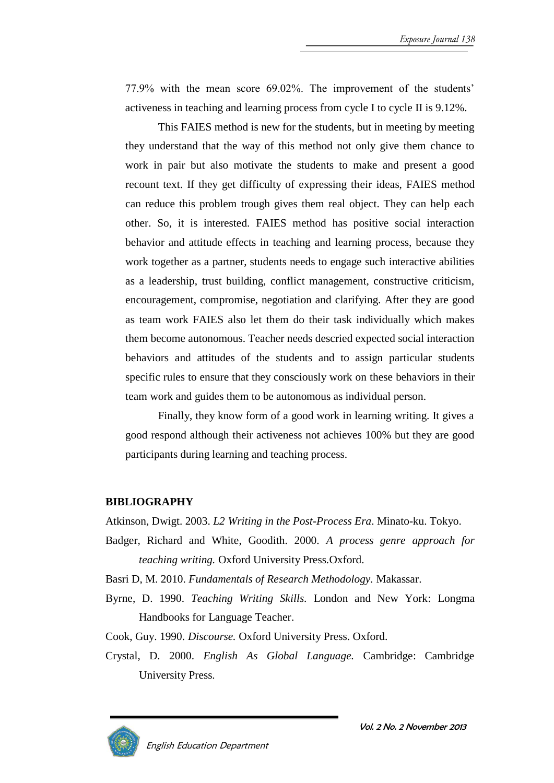77.9% with the mean score 69.02%. The improvement of the students' activeness in teaching and learning process from cycle I to cycle II is 9.12%.

This FAIES method is new for the students, but in meeting by meeting they understand that the way of this method not only give them chance to work in pair but also motivate the students to make and present a good recount text. If they get difficulty of expressing their ideas, FAIES method can reduce this problem trough gives them real object. They can help each other. So, it is interested. FAIES method has positive social interaction behavior and attitude effects in teaching and learning process, because they work together as a partner, students needs to engage such interactive abilities as a leadership, trust building, conflict management, constructive criticism, encouragement, compromise, negotiation and clarifying. After they are good as team work FAIES also let them do their task individually which makes them become autonomous. Teacher needs descried expected social interaction behaviors and attitudes of the students and to assign particular students specific rules to ensure that they consciously work on these behaviors in their team work and guides them to be autonomous as individual person.

Finally, they know form of a good work in learning writing. It gives a good respond although their activeness not achieves 100% but they are good participants during learning and teaching process.

#### **BIBLIOGRAPHY**

Atkinson, Dwigt. 2003. *L2 Writing in the Post-Process Era*. Minato-ku. Tokyo.

Badger, Richard and White, Goodith. 2000. *A process genre approach for teaching writing.* Oxford University Press.Oxford.

Basri D, M. 2010. *Fundamentals of Research Methodology.* Makassar.

Byrne, D. 1990. *Teaching Writing Skills.* London and New York: Longma Handbooks for Language Teacher.

Cook, Guy. 1990. *Discourse.* Oxford University Press. Oxford.

Crystal, D. 2000. *English As Global Language.* Cambridge: Cambridge University Press.



Vol. 2 No. 2 November 2013